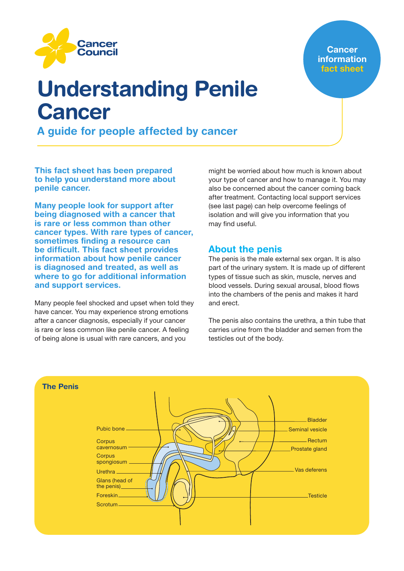

**Cancer information** fact sheet

# Understanding Penile Cancer

A guide for people affected by cancer

This fact sheet has been prepared to help you understand more about penile cancer.

Many people look for support after being diagnosed with a cancer that is rare or less common than other cancer types. With rare types of cancer, sometimes finding a resource can be difficult. This fact sheet provides information about how penile cancer is diagnosed and treated, as well as where to go for additional information and support services.

Many people feel shocked and upset when told they have cancer. You may experience strong emotions after a cancer diagnosis, especially if your cancer is rare or less common like penile cancer. A feeling of being alone is usual with rare cancers, and you

might be worried about how much is known about your type of cancer and how to manage it. You may also be concerned about the cancer coming back after treatment. Contacting local support services (see last page) can help overcome feelings of isolation and will give you information that you may find useful.

# About the penis

The penis is the male external sex organ. It is also part of the urinary system. It is made up of different types of tissue such as skin, muscle, nerves and blood vessels. During sexual arousal, blood flows into the chambers of the penis and makes it hard and erect.

The penis also contains the urethra, a thin tube that carries urine from the bladder and semen from the testicles out of the body.

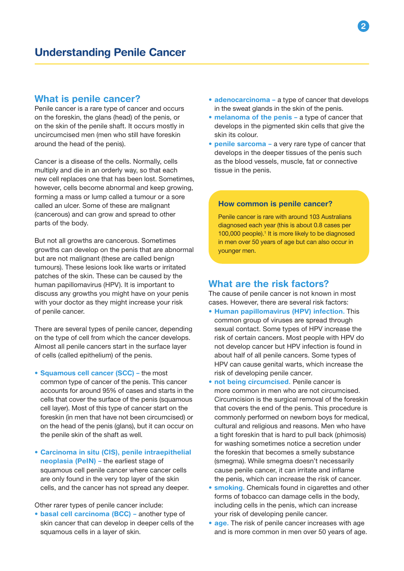## What is penile cancer?

Penile cancer is a rare type of cancer and occurs on the foreskin, the glans (head) of the penis, or on the skin of the penile shaft. It occurs mostly in uncircumcised men (men who still have foreskin around the head of the penis).

Cancer is a disease of the cells. Normally, cells multiply and die in an orderly way, so that each new cell replaces one that has been lost. Sometimes, however, cells become abnormal and keep growing, forming a mass or lump called a tumour or a sore called an ulcer. Some of these are malignant (cancerous) and can grow and spread to other parts of the body.

But not all growths are cancerous. Sometimes growths can develop on the penis that are abnormal but are not malignant (these are called benign tumours). These lesions look like warts or irritated patches of the skin. These can be caused by the human papillomavirus (HPV). It is important to discuss any growths you might have on your penis with your doctor as they might increase your risk of penile cancer.

There are several types of penile cancer, depending on the type of cell from which the cancer develops. Almost all penile cancers start in the surface layer of cells (called epithelium) of the penis.

- Squamous cell cancer (SCC) the most common type of cancer of the penis. This cancer accounts for around 95% of cases and starts in the cells that cover the surface of the penis (squamous cell layer). Most of this type of cancer start on the foreskin (in men that have not been circumcised) or on the head of the penis (glans), but it can occur on the penile skin of the shaft as well.
- Carcinoma in situ (CIS), penile intraepithelial neoplasia (PeIN) – the earliest stage of squamous cell penile cancer where cancer cells are only found in the very top layer of the skin cells, and the cancer has not spread any deeper.

Other rarer types of penile cancer include:

• basal cell carcinoma (BCC) - another type of skin cancer that can develop in deeper cells of the squamous cells in a layer of skin.

- adenocarcinoma a type of cancer that develops in the sweat glands in the skin of the penis.
- melanoma of the penis a type of cancer that develops in the pigmented skin cells that give the skin its colour.
- penile sarcoma a very rare type of cancer that develops in the deeper tissues of the penis such as the blood vessels, muscle, fat or connective tissue in the penis.

#### How common is penile cancer?

Penile cancer is rare with around 103 Australians diagnosed each year (this is about 0.8 cases per 100,000 people).<sup>1</sup> It is more likely to be diagnosed in men over 50 years of age but can also occur in younger men.

## What are the risk factors?

The cause of penile cancer is not known in most cases. However, there are several risk factors:

- Human papillomavirus (HPV) infection. This common group of viruses are spread through sexual contact. Some types of HPV increase the risk of certain cancers. Most people with HPV do not develop cancer but HPV infection is found in about half of all penile cancers. Some types of HPV can cause genital warts, which increase the risk of developing penile cancer.
- not being circumcised. Penile cancer is more common in men who are not circumcised. Circumcision is the surgical removal of the foreskin that covers the end of the penis. This procedure is commonly performed on newborn boys for medical, cultural and religious and reasons. Men who have a tight foreskin that is hard to pull back (phimosis) for washing sometimes notice a secretion under the foreskin that becomes a smelly substance (smegma). While smegma doesn't necessarily cause penile cancer, it can irritate and inflame the penis, which can increase the risk of cancer.
- **smoking.** Chemicals found in cigarettes and other forms of tobacco can damage cells in the body, including cells in the penis, which can increase your risk of developing penile cancer.
- age. The risk of penile cancer increases with age and is more common in men over 50 years of age.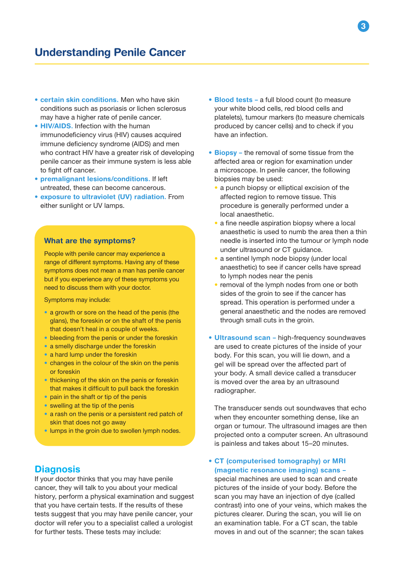# Understanding Penile Cancer

- certain skin conditions. Men who have skin conditions such as psoriasis or lichen sclerosus may have a higher rate of penile cancer.
- **HIV/AIDS.** Infection with the human immunodeficiency virus (HIV) causes acquired immune deficiency syndrome (AIDS) and men who contract HIV have a greater risk of developing penile cancer as their immune system is less able to fight off cancer.
- premalignant lesions/conditions. If left untreated, these can become cancerous.
- exposure to ultraviolet (UV) radiation. From either sunlight or UV lamps.

#### What are the symptoms?

People with penile cancer may experience a range of different symptoms. Having any of these symptoms does not mean a man has penile cancer but if you experience any of these symptoms you need to discuss them with your doctor.

Symptoms may include:

- a growth or sore on the head of the penis (the glans), the foreskin or on the shaft of the penis that doesn't heal in a couple of weeks.
- bleeding from the penis or under the foreskin
- a smelly discharge under the foreskin
- a hard lump under the foreskin
- changes in the colour of the skin on the penis or foreskin
- thickening of the skin on the penis or foreskin that makes it difficult to pull back the foreskin
- pain in the shaft or tip of the penis
- swelling at the tip of the penis
- a rash on the penis or a persistent red patch of skin that does not go away
- lumps in the groin due to swollen lymph nodes.

## **Diagnosis**

If your doctor thinks that you may have penile cancer, they will talk to you about your medical history, perform a physical examination and suggest that you have certain tests. If the results of these tests suggest that you may have penile cancer, your doctor will refer you to a specialist called a urologist for further tests. These tests may include:

- Blood tests a full blood count (to measure your white blood cells, red blood cells and platelets), tumour markers (to measure chemicals produced by cancer cells) and to check if you have an infection.
- Biopsy the removal of some tissue from the affected area or region for examination under a microscope. In penile cancer, the following biopsies may be used:
	- a punch biopsy or elliptical excision of the affected region to remove tissue. This procedure is generally performed under a local anaesthetic.
	- a fine needle aspiration biopsy where a local anaesthetic is used to numb the area then a thin needle is inserted into the tumour or lymph node under ultrasound or CT guidance.
	- a sentinel lymph node biopsy (under local anaesthetic) to see if cancer cells have spread to lymph nodes near the penis
	- removal of the lymph nodes from one or both sides of the groin to see if the cancer has spread. This operation is performed under a general anaesthetic and the nodes are removed through small cuts in the groin.
- Ultrasound scan high-frequency soundwaves are used to create pictures of the inside of your body. For this scan, you will lie down, and a gel will be spread over the affected part of your body. A small device called a transducer is moved over the area by an ultrasound radiographer.

The transducer sends out soundwaves that echo when they encounter something dense, like an organ or tumour. The ultrasound images are then projected onto a computer screen. An ultrasound is painless and takes about 15–20 minutes.

## • CT (computerised tomography) or MRI (magnetic resonance imaging) scans –

special machines are used to scan and create pictures of the inside of your body. Before the scan you may have an injection of dye (called contrast) into one of your veins, which makes the pictures clearer. During the scan, you will lie on an examination table. For a CT scan, the table moves in and out of the scanner; the scan takes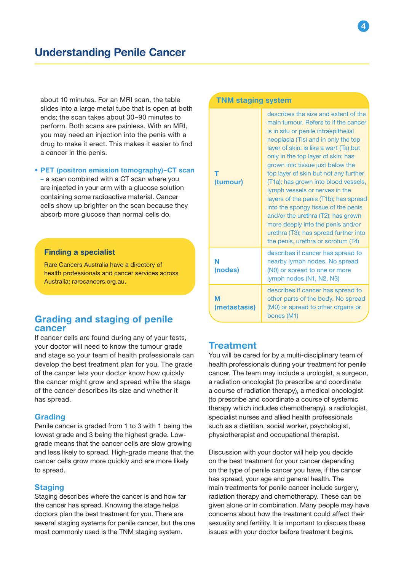about 10 minutes. For an MRI scan, the table slides into a large metal tube that is open at both ends; the scan takes about 30–90 minutes to perform. Both scans are painless. With an MRI, you may need an injection into the penis with a drug to make it erect. This makes it easier to find a cancer in the penis.

• PET (positron emission tomography)–CT scan

– a scan combined with a CT scan where you are injected in your arm with a glucose solution containing some radioactive material. Cancer cells show up brighter on the scan because they absorb more glucose than normal cells do.

## Finding a specialist

Rare Cancers Australia have a directory of health professionals and cancer services across Australia: rarecancers.org.au.

## Grading and staging of penile cancer

If cancer cells are found during any of your tests, your doctor will need to know the tumour grade and stage so your team of health professionals can develop the best treatment plan for you. The grade of the cancer lets your doctor know how quickly the cancer might grow and spread while the stage of the cancer describes its size and whether it has spread.

#### Grading

Penile cancer is graded from 1 to 3 with 1 being the lowest grade and 3 being the highest grade. Lowgrade means that the cancer cells are slow growing and less likely to spread. High-grade means that the cancer cells grow more quickly and are more likely to spread.

#### **Staging**

Staging describes where the cancer is and how far the cancer has spread. Knowing the stage helps doctors plan the best treatment for you. There are several staging systems for penile cancer, but the one most commonly used is the TNM staging system.

| <b>TNM staging system</b> |                                                                                                                                                                                                                                                                                                                                                                                                                                                                                                                                                                                                                                              |  |
|---------------------------|----------------------------------------------------------------------------------------------------------------------------------------------------------------------------------------------------------------------------------------------------------------------------------------------------------------------------------------------------------------------------------------------------------------------------------------------------------------------------------------------------------------------------------------------------------------------------------------------------------------------------------------------|--|
| т<br>(tumour)             | describes the size and extent of the<br>main tumour. Refers to if the cancer<br>is in situ or penile intraepithelial<br>neoplasia (Tis) and in only the top<br>layer of skin; is like a wart (Ta) but<br>only in the top layer of skin; has<br>grown into tissue just below the<br>top layer of skin but not any further<br>(T1a); has grown into blood vessels,<br>lymph vessels or nerves in the<br>layers of the penis (T1b); has spread<br>into the spongy tissue of the penis<br>and/or the urethra (T2); has grown<br>more deeply into the penis and/or<br>urethra (T3); has spread further into<br>the penis, urethra or scrotum (T4) |  |
| N<br>(nodes)              | describes if cancer has spread to<br>nearby lymph nodes. No spread<br>(N0) or spread to one or more<br>lymph nodes (N1, N2, N3)                                                                                                                                                                                                                                                                                                                                                                                                                                                                                                              |  |
| M<br>(metastasis)         | describes if cancer has spread to<br>other parts of the body. No spread<br>(M0) or spread to other organs or<br>bones (M1)                                                                                                                                                                                                                                                                                                                                                                                                                                                                                                                   |  |

## **Treatment**

You will be cared for by a multi-disciplinary team of health professionals during your treatment for penile cancer. The team may include a urologist, a surgeon, a radiation oncologist (to prescribe and coordinate a course of radiation therapy), a medical oncologist (to prescribe and coordinate a course of systemic therapy which includes chemotherapy), a radiologist, specialist nurses and allied health professionals such as a dietitian, social worker, psychologist, physiotherapist and occupational therapist.

Discussion with your doctor will help you decide on the best treatment for your cancer depending on the type of penile cancer you have, if the cancer has spread, your age and general health. The main treatments for penile cancer include surgery, radiation therapy and chemotherapy. These can be given alone or in combination. Many people may have concerns about how the treatment could affect their sexuality and fertility. It is important to discuss these issues with your doctor before treatment begins.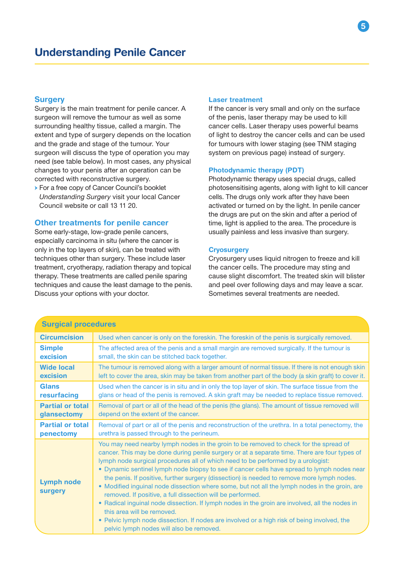## **Surgery**

Surgery is the main treatment for penile cancer. A surgeon will remove the tumour as well as some surrounding healthy tissue, called a margin. The extent and type of surgery depends on the location and the grade and stage of the tumour. Your surgeon will discuss the type of operation you may need (see table below). In most cases, any physical changes to your penis after an operation can be corrected with reconstructive surgery.

→ For a free copy of Cancer Council's booklet *Understanding Surgery* visit your local Cancer Council website or call 13 11 20.

#### Other treatments for penile cancer

Some early-stage, low-grade penile cancers, especially carcinoma in situ (where the cancer is only in the top layers of skin), can be treated with techniques other than surgery. These include laser treatment, cryotherapy, radiation therapy and topical therapy. These treatments are called penile sparing techniques and cause the least damage to the penis. Discuss your options with your doctor.

#### Laser treatment

If the cancer is very small and only on the surface of the penis, laser therapy may be used to kill cancer cells. Laser therapy uses powerful beams of light to destroy the cancer cells and can be used for tumours with lower staging (see TNM staging system on previous page) instead of surgery.

#### Photodynamic therapy (PDT)

Photodynamic therapy uses special drugs, called photosensitising agents, along with light to kill cancer cells. The drugs only work after they have been activated or turned on by the light. In penile cancer the drugs are put on the skin and after a period of time, light is applied to the area. The procedure is usually painless and less invasive than surgery.

#### **Cryosurgery**

Cryosurgery uses liquid nitrogen to freeze and kill the cancer cells. The procedure may sting and cause slight discomfort. The treated skin will blister and peel over following days and may leave a scar. Sometimes several treatments are needed.

| <b>Surgical procedures</b>   |                                                                                                                                                                                                                                                                                                                                                                                                                                                                                                                                                                                                                                                                                                                                                                                                                                                                                                                   |  |
|------------------------------|-------------------------------------------------------------------------------------------------------------------------------------------------------------------------------------------------------------------------------------------------------------------------------------------------------------------------------------------------------------------------------------------------------------------------------------------------------------------------------------------------------------------------------------------------------------------------------------------------------------------------------------------------------------------------------------------------------------------------------------------------------------------------------------------------------------------------------------------------------------------------------------------------------------------|--|
| <b>Circumcision</b>          | Used when cancer is only on the foreskin. The foreskin of the penis is surgically removed.                                                                                                                                                                                                                                                                                                                                                                                                                                                                                                                                                                                                                                                                                                                                                                                                                        |  |
| <b>Simple</b>                | The affected area of the penis and a small margin are removed surgically. If the tumour is                                                                                                                                                                                                                                                                                                                                                                                                                                                                                                                                                                                                                                                                                                                                                                                                                        |  |
| excision                     | small, the skin can be stitched back together.                                                                                                                                                                                                                                                                                                                                                                                                                                                                                                                                                                                                                                                                                                                                                                                                                                                                    |  |
| <b>Wide local</b>            | The tumour is removed along with a larger amount of normal tissue. If there is not enough skin                                                                                                                                                                                                                                                                                                                                                                                                                                                                                                                                                                                                                                                                                                                                                                                                                    |  |
| excision                     | left to cover the area, skin may be taken from another part of the body (a skin graft) to cover it.                                                                                                                                                                                                                                                                                                                                                                                                                                                                                                                                                                                                                                                                                                                                                                                                               |  |
| <b>Glans</b>                 | Used when the cancer is in situ and in only the top layer of skin. The surface tissue from the                                                                                                                                                                                                                                                                                                                                                                                                                                                                                                                                                                                                                                                                                                                                                                                                                    |  |
| resurfacing                  | glans or head of the penis is removed. A skin graft may be needed to replace tissue removed.                                                                                                                                                                                                                                                                                                                                                                                                                                                                                                                                                                                                                                                                                                                                                                                                                      |  |
| <b>Partial or total</b>      | Removal of part or all of the head of the penis (the glans). The amount of tissue removed will                                                                                                                                                                                                                                                                                                                                                                                                                                                                                                                                                                                                                                                                                                                                                                                                                    |  |
| glansectomy                  | depend on the extent of the cancer.                                                                                                                                                                                                                                                                                                                                                                                                                                                                                                                                                                                                                                                                                                                                                                                                                                                                               |  |
| <b>Partial or total</b>      | Removal of part or all of the penis and reconstruction of the urethra. In a total penectomy, the                                                                                                                                                                                                                                                                                                                                                                                                                                                                                                                                                                                                                                                                                                                                                                                                                  |  |
| penectomy                    | urethra is passed through to the perineum.                                                                                                                                                                                                                                                                                                                                                                                                                                                                                                                                                                                                                                                                                                                                                                                                                                                                        |  |
| <b>Lymph node</b><br>surgery | You may need nearby lymph nodes in the groin to be removed to check for the spread of<br>cancer. This may be done during penile surgery or at a separate time. There are four types of<br>lymph node surgical procedures all of which need to be performed by a urologist:<br>• Dynamic sentinel lymph node biopsy to see if cancer cells have spread to lymph nodes near<br>the penis. If positive, further surgery (dissection) is needed to remove more lymph nodes.<br>• Modified inguinal node dissection where some, but not all the lymph nodes in the groin, are<br>removed. If positive, a full dissection will be performed.<br>• Radical inguinal node dissection. If lymph nodes in the groin are involved, all the nodes in<br>this area will be removed.<br>• Pelvic lymph node dissection. If nodes are involved or a high risk of being involved, the<br>pelvic lymph nodes will also be removed. |  |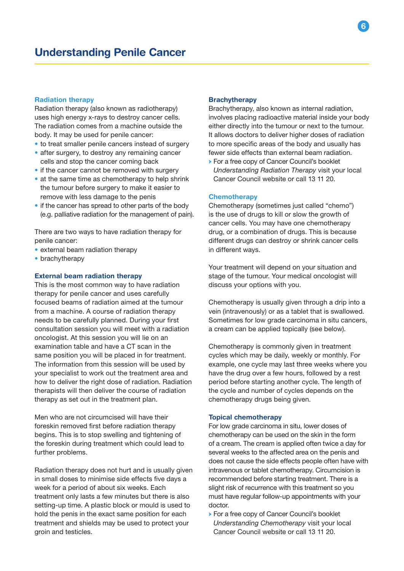## Radiation therapy

Radiation therapy (also known as radiotherapy) uses high energy x-rays to destroy cancer cells. The radiation comes from a machine outside the body. It may be used for penile cancer:

- to treat smaller penile cancers instead of surgery
- after surgery, to destroy any remaining cancer cells and stop the cancer coming back
- if the cancer cannot be removed with surgery
- at the same time as chemotherapy to help shrink the tumour before surgery to make it easier to remove with less damage to the penis
- if the cancer has spread to other parts of the body (e.g. palliative radiation for the management of pain).

There are two ways to have radiation therapy for penile cancer:

- external beam radiation therapy
- brachytherapy

#### External beam radiation therapy

This is the most common way to have radiation therapy for penile cancer and uses carefully focused beams of radiation aimed at the tumour from a machine. A course of radiation therapy needs to be carefully planned. During your first consultation session you will meet with a radiation oncologist. At this session you will lie on an examination table and have a CT scan in the same position you will be placed in for treatment. The information from this session will be used by your specialist to work out the treatment area and how to deliver the right dose of radiation. Radiation therapists will then deliver the course of radiation therapy as set out in the treatment plan.

Men who are not circumcised will have their foreskin removed first before radiation therapy begins. This is to stop swelling and tightening of the foreskin during treatment which could lead to further problems.

Radiation therapy does not hurt and is usually given in small doses to minimise side effects five days a week for a period of about six weeks. Each treatment only lasts a few minutes but there is also setting-up time. A plastic block or mould is used to hold the penis in the exact same position for each treatment and shields may be used to protect your groin and testicles.

#### **Brachytherapy**

Brachytherapy, also known as internal radiation, involves placing radioactive material inside your body either directly into the tumour or next to the tumour. It allows doctors to deliver higher doses of radiation to more specific areas of the body and usually has fewer side effects than external beam radiation.

→ For a free copy of Cancer Council's booklet *Understanding Radiation Therapy* visit your local Cancer Council website or call 13 11 20.

#### **Chemotherapy**

Chemotherapy (sometimes just called "chemo") is the use of drugs to kill or slow the growth of cancer cells. You may have one chemotherapy drug, or a combination of drugs. This is because different drugs can destroy or shrink cancer cells in different ways.

Your treatment will depend on your situation and stage of the tumour. Your medical oncologist will discuss your options with you.

Chemotherapy is usually given through a drip into a vein (intravenously) or as a tablet that is swallowed. Sometimes for low grade carcinoma in situ cancers, a cream can be applied topically (see below).

Chemotherapy is commonly given in treatment cycles which may be daily, weekly or monthly. For example, one cycle may last three weeks where you have the drug over a few hours, followed by a rest period before starting another cycle. The length of the cycle and number of cycles depends on the chemotherapy drugs being given.

#### Topical chemotherapy

For low grade carcinoma in situ, lower doses of chemotherapy can be used on the skin in the form of a cream. The cream is applied often twice a day for several weeks to the affected area on the penis and does not cause the side effects people often have with intravenous or tablet chemotherapy. Circumcision is recommended before starting treatment. There is a slight risk of recurrence with this treatment so you must have regular follow-up appointments with your doctor.

→ For a free copy of Cancer Council's booklet *Understanding Chemotherapy* visit your local Cancer Council website or call 13 11 20.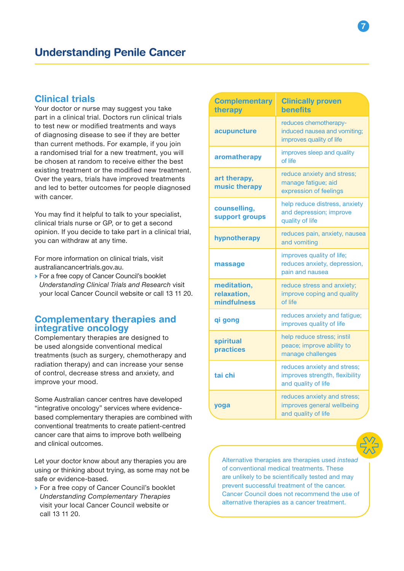## Clinical trials

Your doctor or nurse may suggest you take part in a clinical trial. Doctors run clinical trials to test new or modified treatments and ways of diagnosing disease to see if they are better than current methods. For example, if you join a randomised trial for a new treatment, you will be chosen at random to receive either the best existing treatment or the modified new treatment. Over the years, trials have improved treatments and led to better outcomes for people diagnosed with cancer.

You may find it helpful to talk to your specialist, clinical trials nurse or GP, or to get a second opinion. If you decide to take part in a clinical trial, you can withdraw at any time.

For more information on clinical trials, visit australiancancertrials.gov.au.

→ For a free copy of Cancer Council's booklet *Understanding Clinical Trials and Research* visit your local Cancer Council website or call 13 11 20.

## Complementary therapies and integrative oncology

Complementary therapies are designed to be used alongside conventional medical treatments (such as surgery, chemotherapy and radiation therapy) and can increase your sense of control, decrease stress and anxiety, and improve your mood.

Some Australian cancer centres have developed "integrative oncology" services where evidencebased complementary therapies are combined with conventional treatments to create patient-centred cancer care that aims to improve both wellbeing and clinical outcomes.

Let your doctor know about any therapies you are using or thinking about trying, as some may not be safe or evidence-based.

→ For a free copy of Cancer Council's booklet *Understanding Complementary Therapies* visit your local Cancer Council website or call 13 11 20.

| <b>Complementary</b><br>therapy           | <b>Clinically proven</b><br><b>benefits</b>                                          |
|-------------------------------------------|--------------------------------------------------------------------------------------|
| acupuncture                               | reduces chemotherapy-<br>induced nausea and vomiting;<br>improves quality of life    |
| aromatherapy                              | improves sleep and quality<br>of life                                                |
| art therapy,<br>music therapy             | reduce anxiety and stress;<br>manage fatigue; aid<br>expression of feelings          |
| counselling,<br>support groups            | help reduce distress, anxiety<br>and depression; improve<br>quality of life          |
| hypnotherapy                              | reduces pain, anxiety, nausea<br>and vomiting                                        |
| massage                                   | improves quality of life;<br>reduces anxiety, depression,<br>pain and nausea         |
| meditation,<br>relaxation,<br>mindfulness | reduce stress and anxiety;<br>improve coping and quality<br>of life                  |
| qi gong                                   | reduces anxiety and fatigue;<br>improves quality of life                             |
| spiritual<br>practices                    | help reduce stress; instil<br>peace; improve ability to<br>manage challenges         |
| tai chi                                   | reduces anxiety and stress;<br>improves strength, flexibility<br>and quality of life |
| yoga                                      | reduces anxiety and stress;<br>improves general wellbeing<br>and quality of life     |



Alternative therapies are therapies used *instead* of conventional medical treatments. These are unlikely to be scientifically tested and may prevent successful treatment of the cancer. Cancer Council does not recommend the use of alternative therapies as a cancer treatment.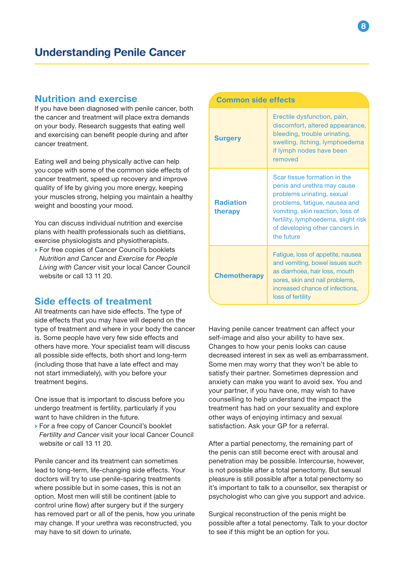## Nutrition and exercise

If you have been diagnosed with penile cancer, both the cancer and treatment will place extra demands on your body. Research suggests that eating well and exercising can benefit people during and after cancer treatment.

Eating well and being physically active can help you cope with some of the common side effects of cancer treatment, speed up recovery and improve quality of life by giving you more energy, keeping your muscles strong, helping you maintain a healthy weight and boosting your mood.

You can discuss individual nutrition and exercise plans with health professionals such as dietitians, exercise physiologists and physiotherapists.

→ For free copies of Cancer Council's booklets *Nutrition and Cancer* and *Exercise for People Living with Cancer* visit your local Cancer Council website or call 13 11 20.

# Side effects of treatment

All treatments can have side effects. The type of side effects that you may have will depend on the type of treatment and where in your body the cancer is. Some people have very few side effects and others have more. Your specialist team will discuss all possible side effects, both short and long-term (including those that have a late effect and may not start immediately), with you before your treatment begins.

One issue that is important to discuss before you undergo treatment is fertility, particularly if you want to have children in the future.

→ For a free copy of Cancer Council's booklet *Fertility and Cancer* visit your local Cancer Council website or call 13 11 20.

Penile cancer and its treatment can sometimes lead to long-term, life-changing side effects. Your doctors will try to use penile-sparing treatments where possible but in some cases, this is not an option. Most men will still be continent (able to control urine flow) after surgery but if the surgery has removed part or all of the penis, how you urinate may change. If your urethra was reconstructed, you may have to sit down to urinate.

| <b>Common side effects</b>  |                                                                                                                                                                                                                                                       |  |
|-----------------------------|-------------------------------------------------------------------------------------------------------------------------------------------------------------------------------------------------------------------------------------------------------|--|
| <b>Surgery</b>              | Erectile dysfunction, pain,<br>discomfort, altered appearance,<br>bleeding, trouble urinating,<br>swelling, itching, lymphoedema<br>if lymph nodes have been<br>removed                                                                               |  |
| <b>Radiation</b><br>therapy | Scar tissue formation in the<br>penis and urethra may cause<br>problems urinating, sexual<br>problems, fatigue, nausea and<br>vomiting, skin reaction, loss of<br>fertility, lymphoedema, slight risk<br>of developing other cancers in<br>the future |  |
| <b>Chemotherapy</b>         | Fatigue, loss of appetite, nausea<br>and vomiting, bowel issues such<br>as diarrhoea, hair loss, mouth<br>sores, skin and nail problems,<br>increased chance of infections.<br>loss of fertility                                                      |  |

Having penile cancer treatment can affect your self-image and also your ability to have sex. Changes to how your penis looks can cause decreased interest in sex as well as embarrassment. Some men may worry that they won't be able to satisfy their partner. Sometimes depression and anxiety can make you want to avoid sex. You and your partner, if you have one, may wish to have counselling to help understand the impact the treatment has had on your sexuality and explore other ways of enjoying intimacy and sexual satisfaction. Ask your GP for a referral.

After a partial penectomy, the remaining part of the penis can still become erect with arousal and penetration may be possible. Intercourse, however, is not possible after a total penectomy. But sexual pleasure is still possible after a total penectomy so it's important to talk to a counsellor, sex therapist or psychologist who can give you support and advice.

Surgical reconstruction of the penis might be possible after a total penectomy. Talk to your doctor to see if this might be an option for you.

 $\mathbf{Q}$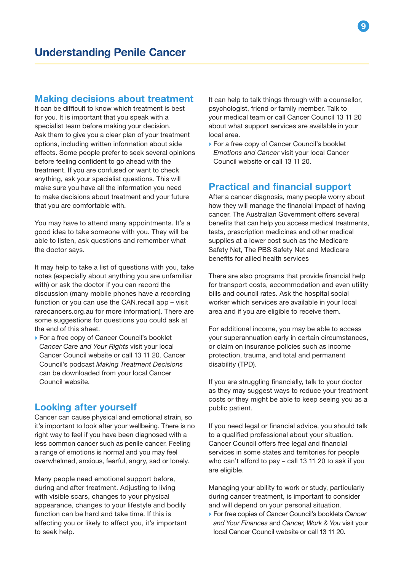## Making decisions about treatment

It can be difficult to know which treatment is best for you. It is important that you speak with a specialist team before making your decision. Ask them to give you a clear plan of your treatment options, including written information about side effects. Some people prefer to seek several opinions before feeling confident to go ahead with the treatment. If you are confused or want to check anything, ask your specialist questions. This will make sure you have all the information you need to make decisions about treatment and your future that you are comfortable with.

You may have to attend many appointments. It's a good idea to take someone with you. They will be able to listen, ask questions and remember what the doctor says.

It may help to take a list of questions with you, take notes (especially about anything you are unfamiliar with) or ask the doctor if you can record the discussion (many mobile phones have a recording function or you can use the CAN.recall app – visit rarecancers.org.au for more information). There are some suggestions for questions you could ask at the end of this sheet.

→ For a free copy of Cancer Council's booklet *Cancer Care and Your Rights* visit your local Cancer Council website or call 13 11 20. Cancer Council's podcast *Making Treatment Decisions* can be downloaded from your local Cancer Council website.

## Looking after yourself

Cancer can cause physical and emotional strain, so it's important to look after your wellbeing. There is no right way to feel if you have been diagnosed with a less common cancer such as penile cancer. Feeling a range of emotions is normal and you may feel overwhelmed, anxious, fearful, angry, sad or lonely.

Many people need emotional support before, during and after treatment. Adjusting to living with visible scars, changes to your physical appearance, changes to your lifestyle and bodily function can be hard and take time. If this is affecting you or likely to affect you, it's important to seek help.

It can help to talk things through with a counsellor, psychologist, friend or family member. Talk to your medical team or call Cancer Council 13 11 20 about what support services are available in your local area.

→ For a free copy of Cancer Council's booklet *Emotions and Cancer* visit your local Cancer Council website or call 13 11 20.

# Practical and financial support

After a cancer diagnosis, many people worry about how they will manage the financial impact of having cancer. The Australian Government offers several benefits that can help you access medical treatments, tests, prescription medicines and other medical supplies at a lower cost such as the Medicare Safety Net, The PBS Safety Net and Medicare benefits for allied health services

There are also programs that provide financial help for transport costs, accommodation and even utility bills and council rates. Ask the hospital social worker which services are available in your local area and if you are eligible to receive them.

For additional income, you may be able to access your superannuation early in certain circumstances, or claim on insurance policies such as income protection, trauma, and total and permanent disability (TPD).

If you are struggling financially, talk to your doctor as they may suggest ways to reduce your treatment costs or they might be able to keep seeing you as a public patient.

If you need legal or financial advice, you should talk to a qualified professional about your situation. Cancer Council offers free legal and financial services in some states and territories for people who can't afford to pay – call 13 11 20 to ask if you are eligible.

Managing your ability to work or study, particularly during cancer treatment, is important to consider and will depend on your personal situation.

→ For free copies of Cancer Council's booklets *Cancer and Your Finances* and *Cancer, Work & You* visit your local Cancer Council website or call 13 11 20.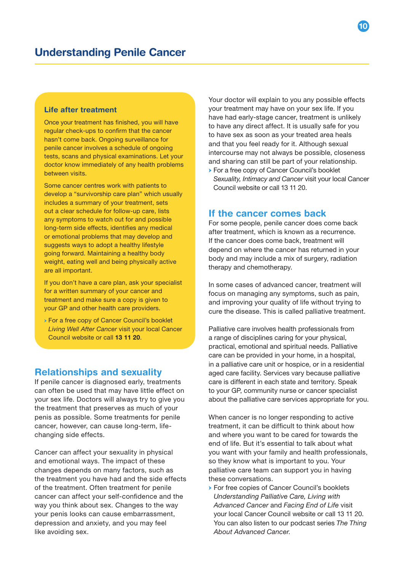## Life after treatment

Once your treatment has finished, you will have regular check-ups to confirm that the cancer hasn't come back. Ongoing surveillance for penile cancer involves a schedule of ongoing tests, scans and physical examinations. Let your doctor know immediately of any health problems between visits.

Some cancer centres work with patients to develop a "survivorship care plan" which usually includes a summary of your treatment, sets out a clear schedule for follow-up care, lists any symptoms to watch out for and possible long-term side effects, identifies any medical or emotional problems that may develop and suggests ways to adopt a healthy lifestyle going forward. Maintaining a healthy body weight, eating well and being physically active are all important.

If you don't have a care plan, ask your specialist for a written summary of your cancer and treatment and make sure a copy is given to your GP and other health care providers.

→ For a free copy of Cancer Council's booklet *Living Well After Cancer* visit your local Cancer Council website or call 13 11 20.

## Relationships and sexuality

If penile cancer is diagnosed early, treatments can often be used that may have little effect on your sex life. Doctors will always try to give you the treatment that preserves as much of your penis as possible. Some treatments for penile cancer, however, can cause long-term, lifechanging side effects.

Cancer can affect your sexuality in physical and emotional ways. The impact of these changes depends on many factors, such as the treatment you have had and the side effects of the treatment. Often treatment for penile cancer can affect your self-confidence and the way you think about sex. Changes to the way your penis looks can cause embarrassment, depression and anxiety, and you may feel like avoiding sex.

Your doctor will explain to you any possible effects your treatment may have on your sex life. If you have had early-stage cancer, treatment is unlikely to have any direct affect. It is usually safe for you to have sex as soon as your treated area heals and that you feel ready for it. Although sexual intercourse may not always be possible, closeness and sharing can still be part of your relationship.

→ For a free copy of Cancer Council's booklet *Sexuality, Intimacy and Cancer* visit your local Cancer Council website or call 13 11 20.

## If the cancer comes back

For some people, penile cancer does come back after treatment, which is known as a recurrence. If the cancer does come back, treatment will depend on where the cancer has returned in your body and may include a mix of surgery, radiation therapy and chemotherapy.

In some cases of advanced cancer, treatment will focus on managing any symptoms, such as pain, and improving your quality of life without trying to cure the disease. This is called palliative treatment.

Palliative care involves health professionals from a range of disciplines caring for your physical, practical, emotional and spiritual needs. Palliative care can be provided in your home, in a hospital, in a palliative care unit or hospice, or in a residential aged care facility. Services vary because palliative care is different in each state and territory. Speak to your GP, community nurse or cancer specialist about the palliative care services appropriate for you.

When cancer is no longer responding to active treatment, it can be difficult to think about how and where you want to be cared for towards the end of life. But it's essential to talk about what you want with your family and health professionals, so they know what is important to you. Your palliative care team can support you in having these conversations.

→ For free copies of Cancer Council's booklets *Understanding Palliative Care, Living with Advanced Cancer* and *Facing End of Life* visit your local Cancer Council website or call 13 11 20. You can also listen to our podcast series *The Thing About Advanced Cancer*.